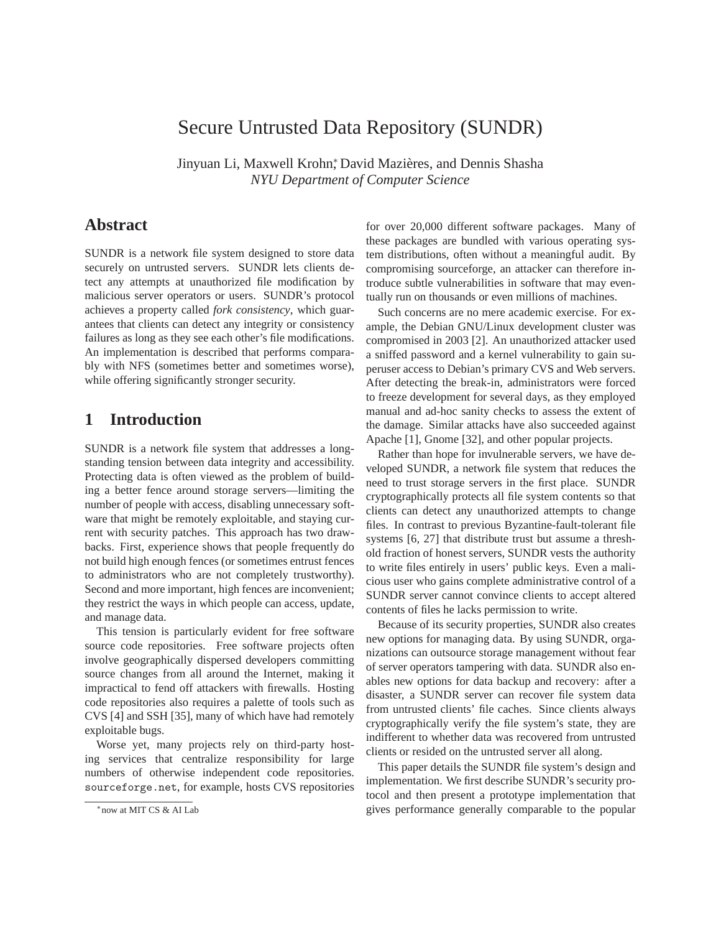# Secure Untrusted Data Repository (SUNDR)

Jinyuan Li, Maxwell Krohn, David Mazières, and Dennis Shasha *NYU Department of Computer Science*

## **Abstract**

SUNDR is a network file system designed to store data securely on untrusted servers. SUNDR lets clients detect any attempts at unauthorized file modification by malicious server operators or users. SUNDR's protocol achieves a property called *fork consistency*, which guarantees that clients can detect any integrity or consistency failures as long as they see each other's file modifications. An implementation is described that performs comparably with NFS (sometimes better and sometimes worse), while offering significantly stronger security.

## **1 Introduction**

SUNDR is a network file system that addresses a longstanding tension between data integrity and accessibility. Protecting data is often viewed as the problem of building a better fence around storage servers—limiting the number of people with access, disabling unnecessary software that might be remotely exploitable, and staying current with security patches. This approach has two drawbacks. First, experience shows that people frequently do not build high enough fences (or sometimes entrust fences to administrators who are not completely trustworthy). Second and more important, high fences are inconvenient; they restrict the ways in which people can access, update, and manage data.

This tension is particularly evident for free software source code repositories. Free software projects often involve geographically dispersed developers committing source changes from all around the Internet, making it impractical to fend off attackers with firewalls. Hosting code repositories also requires a palette of tools such as CVS [4] and SSH [35], many of which have had remotely exploitable bugs.

Worse yet, many projects rely on third-party hosting services that centralize responsibility for large numbers of otherwise independent code repositories. sourceforge.net, for example, hosts CVS repositories for over 20,000 different software packages. Many of these packages are bundled with various operating system distributions, often without a meaningful audit. By compromising sourceforge, an attacker can therefore introduce subtle vulnerabilities in software that may eventually run on thousands or even millions of machines.

Such concerns are no mere academic exercise. For example, the Debian GNU/Linux development cluster was compromised in 2003 [2]. An unauthorized attacker used a sniffed password and a kernel vulnerability to gain superuser access to Debian's primary CVS and Web servers. After detecting the break-in, administrators were forced to freeze development for several days, as they employed manual and ad-hoc sanity checks to assess the extent of the damage. Similar attacks have also succeeded against Apache [1], Gnome [32], and other popular projects.

Rather than hope for invulnerable servers, we have developed SUNDR, a network file system that reduces the need to trust storage servers in the first place. SUNDR cryptographically protects all file system contents so that clients can detect any unauthorized attempts to change files. In contrast to previous Byzantine-fault-tolerant file systems [6, 27] that distribute trust but assume a threshold fraction of honest servers, SUNDR vests the authority to write files entirely in users' public keys. Even a malicious user who gains complete administrative control of a SUNDR server cannot convince clients to accept altered contents of files he lacks permission to write.

Because of its security properties, SUNDR also creates new options for managing data. By using SUNDR, organizations can outsource storage management without fear of server operators tampering with data. SUNDR also enables new options for data backup and recovery: after a disaster, a SUNDR server can recover file system data from untrusted clients' file caches. Since clients always cryptographically verify the file system's state, they are indifferent to whether data was recovered from untrusted clients or resided on the untrusted server all along.

This paper details the SUNDR file system's design and implementation. We first describe SUNDR's security protocol and then present a prototype implementation that gives performance generally comparable to the popular

<sup>∗</sup>now at MIT CS & AI Lab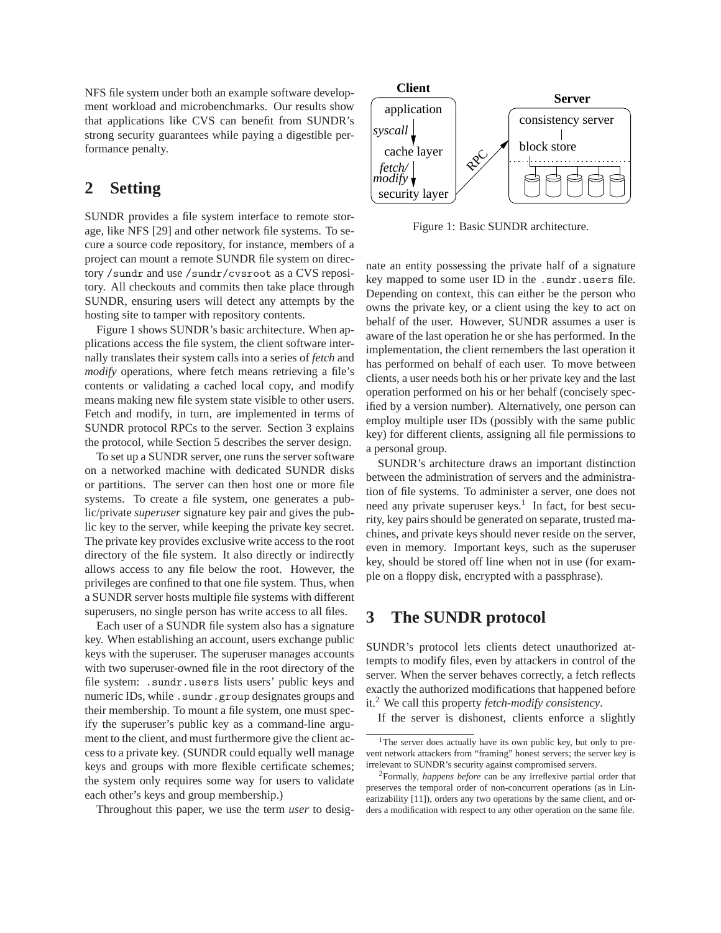NFS file system under both an example software development workload and microbenchmarks. Our results show that applications like CVS can benefit from SUNDR's strong security guarantees while paying a digestible performance penalty.

## **2 Setting**

SUNDR provides a file system interface to remote storage, like NFS [29] and other network file systems. To secure a source code repository, for instance, members of a project can mount a remote SUNDR file system on directory /sundr and use /sundr/cvsroot as a CVS repository. All checkouts and commits then take place through SUNDR, ensuring users will detect any attempts by the hosting site to tamper with repository contents.

Figure 1 shows SUNDR's basic architecture. When applications access the file system, the client software internally translates their system calls into a series of *fetch* and *modify* operations, where fetch means retrieving a file's contents or validating a cached local copy, and modify means making new file system state visible to other users. Fetch and modify, in turn, are implemented in terms of SUNDR protocol RPCs to the server. Section 3 explains the protocol, while Section 5 describes the server design.

To set up a SUNDR server, one runs the server software on a networked machine with dedicated SUNDR disks or partitions. The server can then host one or more file systems. To create a file system, one generates a public/private *superuser* signature key pair and gives the public key to the server, while keeping the private key secret. The private key provides exclusive write access to the root directory of the file system. It also directly or indirectly allows access to any file below the root. However, the privileges are confined to that one file system. Thus, when a SUNDR server hosts multiple file systems with different superusers, no single person has write access to all files.

Each user of a SUNDR file system also has a signature key. When establishing an account, users exchange public keys with the superuser. The superuser manages accounts with two superuser-owned file in the root directory of the file system: .sundr.users lists users' public keys and numeric IDs, while .sundr.group designates groups and their membership. To mount a file system, one must specify the superuser's public key as a command-line argument to the client, and must furthermore give the client access to a private key. (SUNDR could equally well manage keys and groups with more flexible certificate schemes; the system only requires some way for users to validate each other's keys and group membership.)

Throughout this paper, we use the term *user* to desig-



Figure 1: Basic SUNDR architecture.

nate an entity possessing the private half of a signature key mapped to some user ID in the .sundr.users file. Depending on context, this can either be the person who owns the private key, or a client using the key to act on behalf of the user. However, SUNDR assumes a user is aware of the last operation he or she has performed. In the implementation, the client remembers the last operation it has performed on behalf of each user. To move between clients, a user needs both his or her private key and the last operation performed on his or her behalf (concisely specified by a version number). Alternatively, one person can employ multiple user IDs (possibly with the same public key) for different clients, assigning all file permissions to a personal group.

SUNDR's architecture draws an important distinction between the administration of servers and the administration of file systems. To administer a server, one does not need any private superuser keys.<sup>1</sup> In fact, for best security, key pairs should be generated on separate, trusted machines, and private keys should never reside on the server, even in memory. Important keys, such as the superuser key, should be stored off line when not in use (for example on a floppy disk, encrypted with a passphrase).

## **3 The SUNDR protocol**

SUNDR's protocol lets clients detect unauthorized attempts to modify files, even by attackers in control of the server. When the server behaves correctly, a fetch reflects exactly the authorized modifications that happened before it.<sup>2</sup> We call this property *fetch-modify consistency*.

If the server is dishonest, clients enforce a slightly

<sup>&</sup>lt;sup>1</sup>The server does actually have its own public key, but only to prevent network attackers from "framing" honest servers; the server key is irrelevant to SUNDR's security against compromised servers.

<sup>2</sup>Formally, *happens before* can be any irreflexive partial order that preserves the temporal order of non-concurrent operations (as in Linearizability [11]), orders any two operations by the same client, and orders a modification with respect to any other operation on the same file.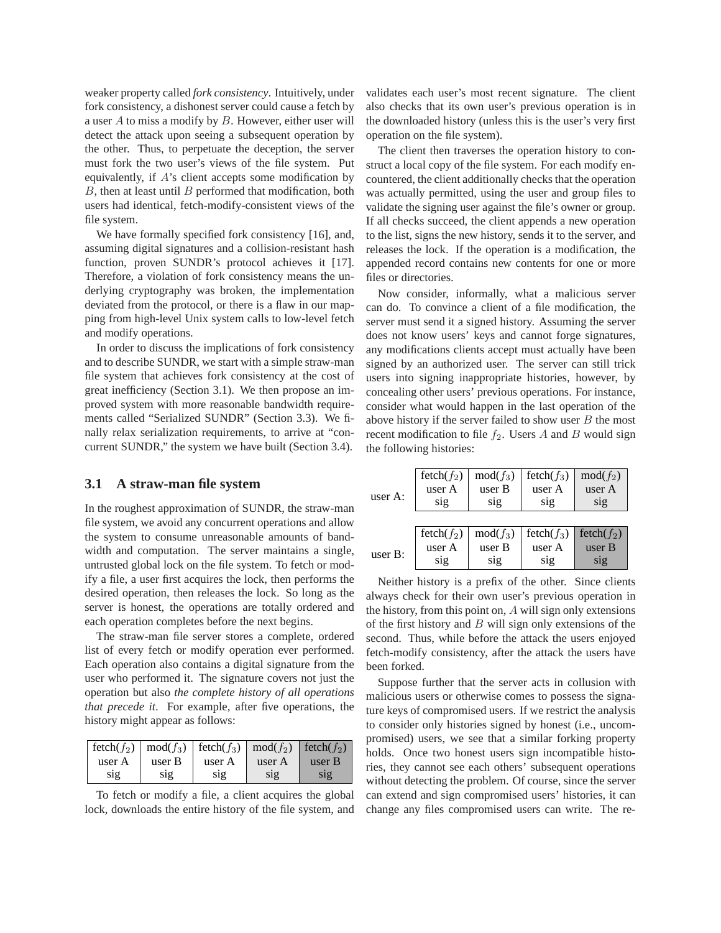weaker property called *fork consistency*. Intuitively, under fork consistency, a dishonest server could cause a fetch by a user  $A$  to miss a modify by  $B$ . However, either user will detect the attack upon seeing a subsequent operation by the other. Thus, to perpetuate the deception, the server must fork the two user's views of the file system. Put equivalently, if A's client accepts some modification by  $B$ , then at least until  $B$  performed that modification, both users had identical, fetch-modify-consistent views of the file system.

We have formally specified fork consistency [16], and, assuming digital signatures and a collision-resistant hash function, proven SUNDR's protocol achieves it [17]. Therefore, a violation of fork consistency means the underlying cryptography was broken, the implementation deviated from the protocol, or there is a flaw in our mapping from high-level Unix system calls to low-level fetch and modify operations.

In order to discuss the implications of fork consistency and to describe SUNDR, we start with a simple straw-man file system that achieves fork consistency at the cost of great inefficiency (Section 3.1). We then propose an improved system with more reasonable bandwidth requirements called "Serialized SUNDR" (Section 3.3). We finally relax serialization requirements, to arrive at "concurrent SUNDR," the system we have built (Section 3.4).

### **3.1 A straw-man file system**

In the roughest approximation of SUNDR, the straw-man file system, we avoid any concurrent operations and allow the system to consume unreasonable amounts of bandwidth and computation. The server maintains a single, untrusted global lock on the file system. To fetch or modify a file, a user first acquires the lock, then performs the desired operation, then releases the lock. So long as the server is honest, the operations are totally ordered and each operation completes before the next begins.

The straw-man file server stores a complete, ordered list of every fetch or modify operation ever performed. Each operation also contains a digital signature from the user who performed it. The signature covers not just the operation but also *the complete history of all operations that precede it*. For example, after five operations, the history might appear as follows:

| $\left  \text{ fetch}(f_2) \right  \text{mod}(f_3)$ $\left  \text{ fetch}(f_3) \right  \text{mod}(f_2)$ $\left  \text{ fetch}(f_2) \right $ |        |        |        |        |
|---------------------------------------------------------------------------------------------------------------------------------------------|--------|--------|--------|--------|
| user A                                                                                                                                      | user B | user A | user A | user B |
| S <sub>1</sub> g                                                                                                                            | S1g    | S1g    | S1g    | S1Q    |

To fetch or modify a file, a client acquires the global lock, downloads the entire history of the file system, and validates each user's most recent signature. The client also checks that its own user's previous operation is in the downloaded history (unless this is the user's very first operation on the file system).

The client then traverses the operation history to construct a local copy of the file system. For each modify encountered, the client additionally checks that the operation was actually permitted, using the user and group files to validate the signing user against the file's owner or group. If all checks succeed, the client appends a new operation to the list, signs the new history, sends it to the server, and releases the lock. If the operation is a modification, the appended record contains new contents for one or more files or directories.

Now consider, informally, what a malicious server can do. To convince a client of a file modification, the server must send it a signed history. Assuming the server does not know users' keys and cannot forge signatures, any modifications clients accept must actually have been signed by an authorized user. The server can still trick users into signing inappropriate histories, however, by concealing other users' previous operations. For instance, consider what would happen in the last operation of the above history if the server failed to show user  $B$  the most recent modification to file  $f_2$ . Users A and B would sign the following histories:

| user A:    | $fetch(f_2)$<br>user A<br>sig | $mod(f_3)$<br>user B<br>sig | $fetch(f_3)$<br>user A<br>$\overline{\text{sig}}$ | $mod(f_2)$<br>user A<br>sig |
|------------|-------------------------------|-----------------------------|---------------------------------------------------|-----------------------------|
|            | $fetch(f_2)$                  | $mod(f_3)$                  | $fetch(f_3)$                                      | fetch $(f_2)$               |
| user $B$ : | user A                        | user B                      | user A                                            | user B                      |
|            | sig                           | sig                         | S1g                                               | S <sub>1</sub> g            |

Neither history is a prefix of the other. Since clients always check for their own user's previous operation in the history, from this point on, A will sign only extensions of the first history and  $B$  will sign only extensions of the second. Thus, while before the attack the users enjoyed fetch-modify consistency, after the attack the users have been forked.

Suppose further that the server acts in collusion with malicious users or otherwise comes to possess the signature keys of compromised users. If we restrict the analysis to consider only histories signed by honest (i.e., uncompromised) users, we see that a similar forking property holds. Once two honest users sign incompatible histories, they cannot see each others' subsequent operations without detecting the problem. Of course, since the server can extend and sign compromised users' histories, it can change any files compromised users can write. The re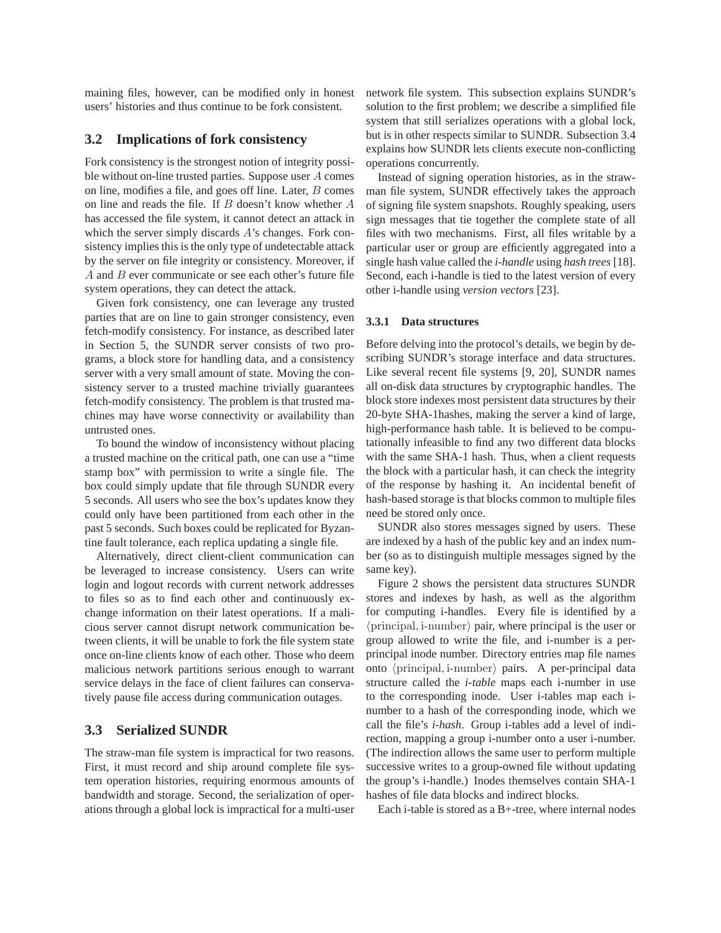maining files, however, can be modified only in honest users' histories and thus continue to be fork consistent.

### **3.2 Implications of fork consistency**

Fork consistency is the strongest notion of integrity possible without on-line trusted parties. Suppose user A comes on line, modifies a file, and goes off line. Later, B comes on line and reads the file. If B doesn't know whether A has accessed the file system, it cannot detect an attack in which the server simply discards A's changes. Fork consistency implies this is the only type of undetectable attack by the server on file integrity or consistency. Moreover, if A and B ever communicate or see each other's future file system operations, they can detect the attack.

Given fork consistency, one can leverage any trusted parties that are on line to gain stronger consistency, even fetch-modify consistency. For instance, as described later in Section 5, the SUNDR server consists of two programs, a block store for handling data, and a consistency server with a very small amount of state. Moving the consistency server to a trusted machine trivially guarantees fetch-modify consistency. The problem is that trusted machines may have worse connectivity or availability than untrusted ones.

To bound the window of inconsistency without placing a trusted machine on the critical path, one can use a "time stamp box" with permission to write a single file. The box could simply update that file through SUNDR every 5 seconds. All users who see the box's updates know they could only have been partitioned from each other in the past 5 seconds. Such boxes could be replicated for Byzantine fault tolerance, each replica updating a single file.

Alternatively, direct client-client communication can be leveraged to increase consistency. Users can write login and logout records with current network addresses to files so as to find each other and continuously exchange information on their latest operations. If a malicious server cannot disrupt network communication between clients, it will be unable to fork the file system state once on-line clients know of each other. Those who deem malicious network partitions serious enough to warrant service delays in the face of client failures can conservatively pause file access during communication outages.

### **3.3 Serialized SUNDR**

The straw-man file system is impractical for two reasons. First, it must record and ship around complete file system operation histories, requiring enormous amounts of bandwidth and storage. Second, the serialization of operations through a global lock is impractical for a multi-user

network file system. This subsection explains SUNDR's solution to the first problem; we describe a simplified file system that still serializes operations with a global lock, but is in other respects similar to SUNDR. Subsection 3.4 explains how SUNDR lets clients execute non-conflicting operations concurrently.

Instead of signing operation histories, as in the strawman file system, SUNDR effectively takes the approach of signing file system snapshots. Roughly speaking, users sign messages that tie together the complete state of all files with two mechanisms. First, all files writable by a particular user or group are efficiently aggregated into a single hash value called the *i-handle* using *hash trees* [18]. Second, each i-handle is tied to the latest version of every other i-handle using *version vectors* [23].

#### **3.3.1 Data structures**

Before delving into the protocol's details, we begin by describing SUNDR's storage interface and data structures. Like several recent file systems [9, 20], SUNDR names all on-disk data structures by cryptographic handles. The block store indexes most persistent data structures by their 20-byte SHA-1hashes, making the server a kind of large, high-performance hash table. It is believed to be computationally infeasible to find any two different data blocks with the same SHA-1 hash. Thus, when a client requests the block with a particular hash, it can check the integrity of the response by hashing it. An incidental benefit of hash-based storage is that blocks common to multiple files need be stored only once.

SUNDR also stores messages signed by users. These are indexed by a hash of the public key and an index number (so as to distinguish multiple messages signed by the same key).

Figure 2 shows the persistent data structures SUNDR stores and indexes by hash, as well as the algorithm for computing i-handles. Every file is identified by a  $\langle$  principal, i-number $\rangle$  pair, where principal is the user or group allowed to write the file, and i-number is a perprincipal inode number. Directory entries map file names onto  $\langle$  principal, i-number $\rangle$  pairs. A per-principal data structure called the *i-table* maps each i-number in use to the corresponding inode. User i-tables map each inumber to a hash of the corresponding inode, which we call the file's *i-hash*. Group i-tables add a level of indirection, mapping a group i-number onto a user i-number. (The indirection allows the same user to perform multiple successive writes to a group-owned file without updating the group's i-handle.) Inodes themselves contain SHA-1 hashes of file data blocks and indirect blocks.

Each i-table is stored as a B+-tree, where internal nodes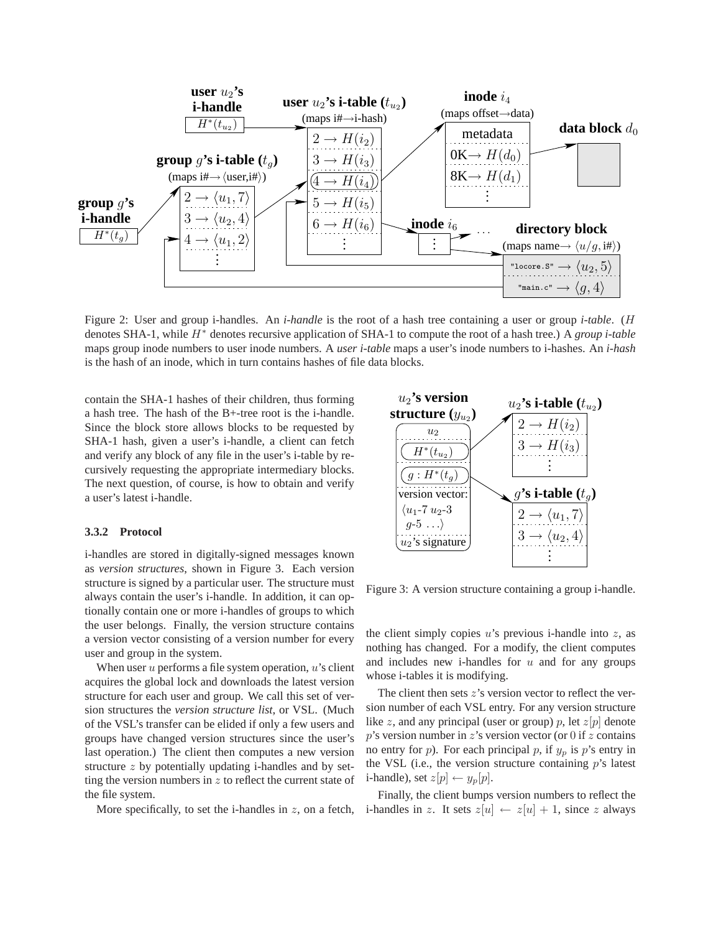

Figure 2: User and group i-handles. An *i-handle* is the root of a hash tree containing a user or group *i-table*. (H denotes SHA-1, while H<sup>∗</sup> denotes recursive application of SHA-1 to compute the root of a hash tree.) A *group i-table* maps group inode numbers to user inode numbers. A *user i-table* maps a user's inode numbers to i-hashes. An *i-hash* is the hash of an inode, which in turn contains hashes of file data blocks.

contain the SHA-1 hashes of their children, thus forming a hash tree. The hash of the B+-tree root is the i-handle. Since the block store allows blocks to be requested by SHA-1 hash, given a user's i-handle, a client can fetch and verify any block of any file in the user's i-table by recursively requesting the appropriate intermediary blocks. The next question, of course, is how to obtain and verify a user's latest i-handle.

#### **3.3.2 Protocol**

i-handles are stored in digitally-signed messages known as *version structures*, shown in Figure 3. Each version structure is signed by a particular user. The structure must always contain the user's i-handle. In addition, it can optionally contain one or more i-handles of groups to which the user belongs. Finally, the version structure contains a version vector consisting of a version number for every user and group in the system.

When user  $u$  performs a file system operation,  $u$ 's client acquires the global lock and downloads the latest version structure for each user and group. We call this set of version structures the *version structure list*, or VSL. (Much of the VSL's transfer can be elided if only a few users and groups have changed version structures since the user's last operation.) The client then computes a new version structure z by potentially updating i-handles and by setting the version numbers in  $z$  to reflect the current state of the file system.

More specifically, to set the i-handles in  $z$ , on a fetch,



Figure 3: A version structure containing a group i-handle.

the client simply copies  $u$ 's previous i-handle into  $z$ , as nothing has changed. For a modify, the client computes and includes new i-handles for  $u$  and for any groups whose i-tables it is modifying.

The client then sets  $z$ 's version vector to reflect the version number of each VSL entry. For any version structure like z, and any principal (user or group) p, let  $z[p]$  denote  $p$ 's version number in  $z$ 's version vector (or 0 if  $z$  contains no entry for  $p$ ). For each principal  $p$ , if  $y_p$  is  $p$ 's entry in the VSL (i.e., the version structure containing  $p$ 's latest i-handle), set  $z[p] \leftarrow y_p[p]$ .

Finally, the client bumps version numbers to reflect the i-handles in z. It sets  $z[u] \leftarrow z[u] + 1$ , since z always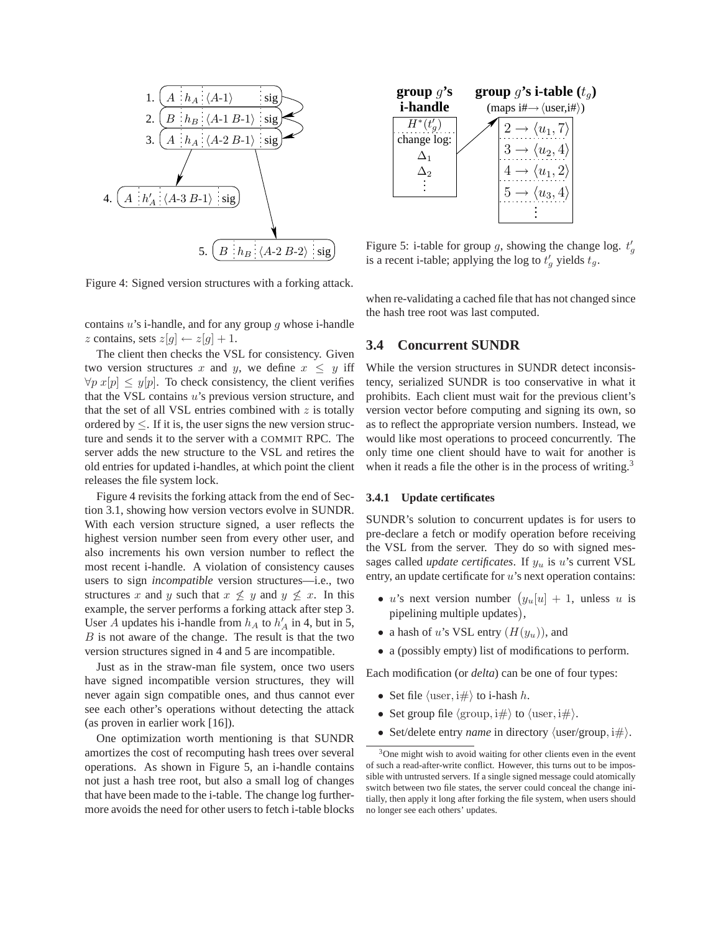

Figure 4: Signed version structures with a forking attack.

contains  $u$ 's i-handle, and for any group  $q$  whose i-handle z contains, sets  $z[q] \leftarrow z[q] + 1$ .

The client then checks the VSL for consistency. Given two version structures x and y, we define  $x \leq y$  iff  $\forall p \ x[p] \leq y[p]$ . To check consistency, the client verifies that the VSL contains  $u$ 's previous version structure, and that the set of all VSL entries combined with  $z$  is totally ordered by  $\leq$ . If it is, the user signs the new version structure and sends it to the server with a COMMIT RPC. The server adds the new structure to the VSL and retires the old entries for updated i-handles, at which point the client releases the file system lock.

Figure 4 revisits the forking attack from the end of Section 3.1, showing how version vectors evolve in SUNDR. With each version structure signed, a user reflects the highest version number seen from every other user, and also increments his own version number to reflect the most recent i-handle. A violation of consistency causes users to sign *incompatible* version structures—i.e., two structures x and y such that  $x \not\leq y$  and  $y \not\leq x$ . In this example, the server performs a forking attack after step 3. User A updates his i-handle from  $h_A$  to  $h'_A$  in 4, but in 5,  $B$  is not aware of the change. The result is that the two version structures signed in 4 and 5 are incompatible.

Just as in the straw-man file system, once two users have signed incompatible version structures, they will never again sign compatible ones, and thus cannot ever see each other's operations without detecting the attack (as proven in earlier work [16]).

One optimization worth mentioning is that SUNDR amortizes the cost of recomputing hash trees over several operations. As shown in Figure 5, an i-handle contains not just a hash tree root, but also a small log of changes that have been made to the i-table. The change log furthermore avoids the need for other users to fetch i-table blocks



Figure 5: i-table for group g, showing the change log.  $t'_g$ is a recent i-table; applying the log to  $t'_g$  yields  $t_g$ .

when re-validating a cached file that has not changed since the hash tree root was last computed.

#### **3.4 Concurrent SUNDR**

While the version structures in SUNDR detect inconsistency, serialized SUNDR is too conservative in what it prohibits. Each client must wait for the previous client's version vector before computing and signing its own, so as to reflect the appropriate version numbers. Instead, we would like most operations to proceed concurrently. The only time one client should have to wait for another is when it reads a file the other is in the process of writing.<sup>3</sup>

#### **3.4.1 Update certificates**

SUNDR's solution to concurrent updates is for users to pre-declare a fetch or modify operation before receiving the VSL from the server. They do so with signed messages called *update certificates*. If  $y_u$  is u's current VSL entry, an update certificate for u's next operation contains:

- u's next version number  $(y_u[u] + 1$ , unless u is pipelining multiple updates),
- a hash of u's VSL entry  $(H(y_u))$ , and
- a (possibly empty) list of modifications to perform.

Each modification (or *delta*) can be one of four types:

- Set file  $\langle$  user, i# $\rangle$  to i-hash h.
- Set group file  $\langle \text{group}, i\# \rangle$  to  $\langle \text{user}, i\# \rangle$ .
- Set/delete entry *name* in directory  $\langle$ user/group, i $\#$ ).

<sup>&</sup>lt;sup>3</sup>One might wish to avoid waiting for other clients even in the event of such a read-after-write conflict. However, this turns out to be impossible with untrusted servers. If a single signed message could atomically switch between two file states, the server could conceal the change initially, then apply it long after forking the file system, when users should no longer see each others' updates.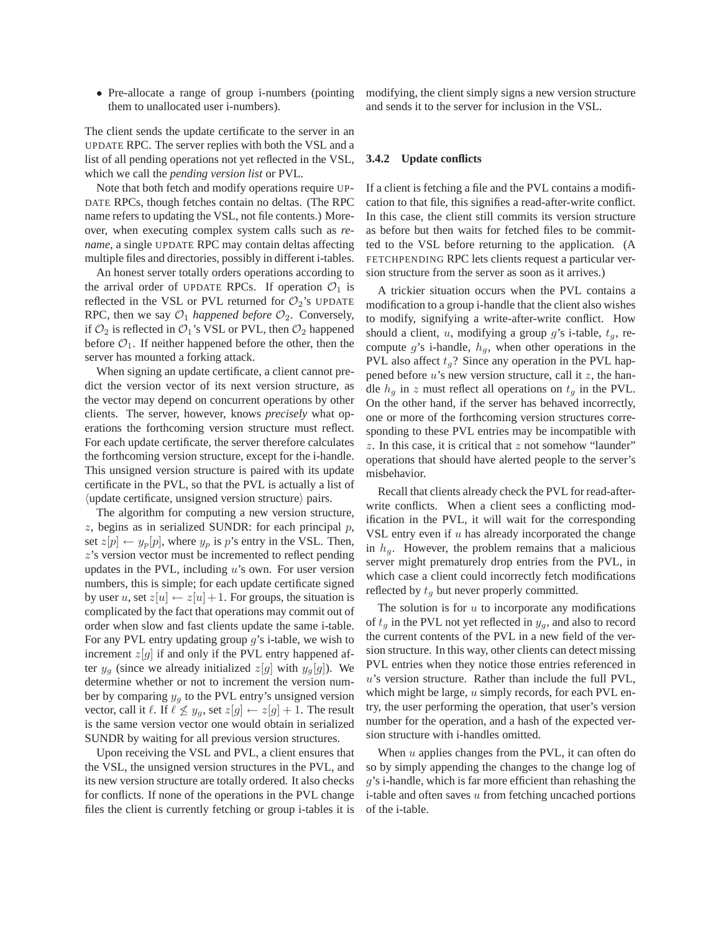• Pre-allocate a range of group *i*-numbers (pointing them to unallocated user i-numbers).

The client sends the update certificate to the server in an UPDATE RPC. The server replies with both the VSL and a list of all pending operations not yet reflected in the VSL, which we call the *pending version list* or PVL.

Note that both fetch and modify operations require UP-DATE RPCs, though fetches contain no deltas. (The RPC name refers to updating the VSL, not file contents.) Moreover, when executing complex system calls such as *rename*, a single UPDATE RPC may contain deltas affecting multiple files and directories, possibly in different i-tables.

An honest server totally orders operations according to the arrival order of UPDATE RPCs. If operation  $\mathcal{O}_1$  is reflected in the VSL or PVL returned for  $\mathcal{O}_2$ 's UPDATE RPC, then we say  $\mathcal{O}_1$  *happened before*  $\mathcal{O}_2$ . Conversely, if  $\mathcal{O}_2$  is reflected in  $\mathcal{O}_1$ 's VSL or PVL, then  $\mathcal{O}_2$  happened before  $\mathcal{O}_1$ . If neither happened before the other, then the server has mounted a forking attack.

When signing an update certificate, a client cannot predict the version vector of its next version structure, as the vector may depend on concurrent operations by other clients. The server, however, knows *precisely* what operations the forthcoming version structure must reflect. For each update certificate, the server therefore calculates the forthcoming version structure, except for the i-handle. This unsigned version structure is paired with its update certificate in the PVL, so that the PVL is actually a list of  $\langle$ update certificate, unsigned version structure $\rangle$  pairs.

The algorithm for computing a new version structure,  $z$ , begins as in serialized SUNDR: for each principal  $p$ , set  $z[p] \leftarrow y_p[p]$ , where  $y_p$  is p's entry in the VSL. Then, z's version vector must be incremented to reflect pending updates in the PVL, including  $u$ 's own. For user version numbers, this is simple; for each update certificate signed by user u, set  $z[u] \leftarrow z[u] + 1$ . For groups, the situation is complicated by the fact that operations may commit out of order when slow and fast clients update the same i-table. For any PVL entry updating group  $q$ 's i-table, we wish to increment  $z[g]$  if and only if the PVL entry happened after  $y_a$  (since we already initialized  $z[q]$  with  $y_a[q]$ ). We determine whether or not to increment the version number by comparing  $y_g$  to the PVL entry's unsigned version vector, call it  $\ell$ . If  $\ell \not\leq y_g$ , set  $z[g] \leftarrow z[g] + 1$ . The result is the same version vector one would obtain in serialized SUNDR by waiting for all previous version structures.

Upon receiving the VSL and PVL, a client ensures that the VSL, the unsigned version structures in the PVL, and its new version structure are totally ordered. It also checks for conflicts. If none of the operations in the PVL change files the client is currently fetching or group i-tables it is modifying, the client simply signs a new version structure and sends it to the server for inclusion in the VSL.

#### **3.4.2 Update conflicts**

If a client is fetching a file and the PVL contains a modification to that file, this signifies a read-after-write conflict. In this case, the client still commits its version structure as before but then waits for fetched files to be committed to the VSL before returning to the application. (A FETCHPENDING RPC lets clients request a particular version structure from the server as soon as it arrives.)

A trickier situation occurs when the PVL contains a modification to a group i-handle that the client also wishes to modify, signifying a write-after-write conflict. How should a client, u, modifying a group  $g$ 's i-table,  $t<sub>a</sub>$ , recompute g's i-handle,  $h_q$ , when other operations in the PVL also affect  $t_q$ ? Since any operation in the PVL happened before  $u$ 's new version structure, call it  $z$ , the handle  $h_q$  in z must reflect all operations on  $t_q$  in the PVL. On the other hand, if the server has behaved incorrectly, one or more of the forthcoming version structures corresponding to these PVL entries may be incompatible with  $z$ . In this case, it is critical that  $z$  not somehow "launder" operations that should have alerted people to the server's misbehavior.

Recall that clients already check the PVL for read-afterwrite conflicts. When a client sees a conflicting modification in the PVL, it will wait for the corresponding VSL entry even if  $u$  has already incorporated the change in  $h_q$ . However, the problem remains that a malicious server might prematurely drop entries from the PVL, in which case a client could incorrectly fetch modifications reflected by  $t_q$  but never properly committed.

The solution is for  $u$  to incorporate any modifications of  $t_q$  in the PVL not yet reflected in  $y_q$ , and also to record the current contents of the PVL in a new field of the version structure. In this way, other clients can detect missing PVL entries when they notice those entries referenced in u's version structure. Rather than include the full PVL, which might be large,  $u$  simply records, for each PVL entry, the user performing the operation, that user's version number for the operation, and a hash of the expected version structure with i-handles omitted.

When  $u$  applies changes from the PVL, it can often do so by simply appending the changes to the change log of g's i-handle, which is far more efficient than rehashing the  $i$ -table and often saves  $u$  from fetching uncached portions of the i-table.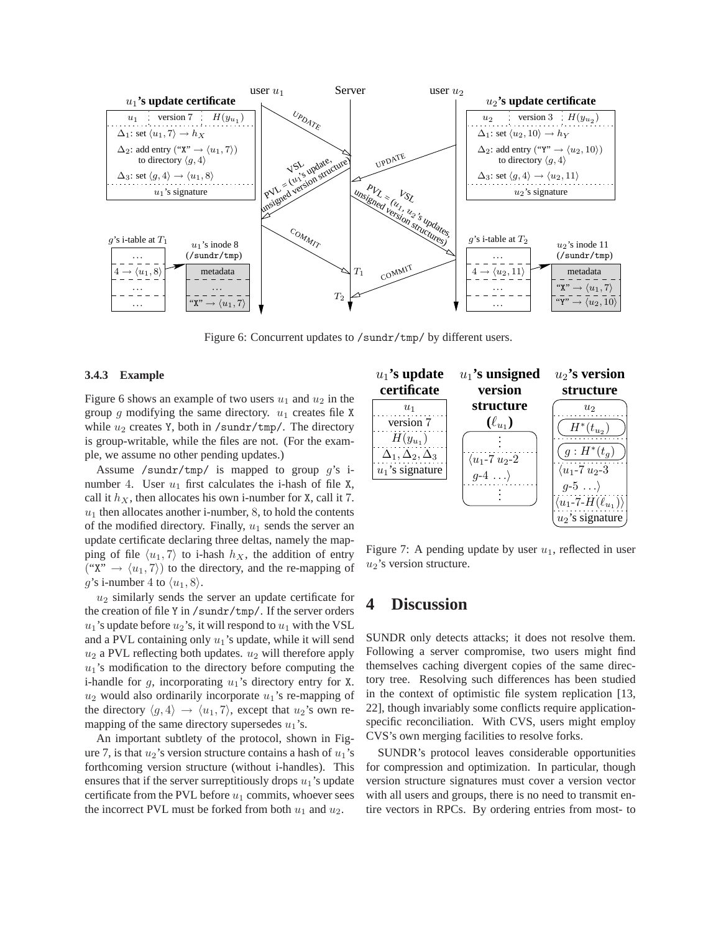

Figure 6: Concurrent updates to /sundr/tmp/ by different users.

#### **3.4.3 Example**

Figure 6 shows an example of two users  $u_1$  and  $u_2$  in the group g modifying the same directory.  $u_1$  creates file X while  $u_2$  creates Y, both in /sundr/tmp/. The directory is group-writable, while the files are not. (For the example, we assume no other pending updates.)

Assume /sundr/tmp/ is mapped to group  $g$ 's inumber 4. User  $u_1$  first calculates the i-hash of file X, call it  $h_X$ , then allocates his own i-number for X, call it 7.  $u_1$  then allocates another i-number, 8, to hold the contents of the modified directory. Finally,  $u_1$  sends the server an update certificate declaring three deltas, namely the mapping of file  $\langle u_1, 7 \rangle$  to i-hash  $h_X$ , the addition of entry ("X"  $\rightarrow$   $\langle u_1, 7 \rangle$ ) to the directory, and the re-mapping of g's i-number 4 to  $\langle u_1, 8 \rangle$ .

 $u_2$  similarly sends the server an update certificate for the creation of file Y in /sundr/tmp/. If the server orders  $u_1$ 's update before  $u_2$ 's, it will respond to  $u_1$  with the VSL and a PVL containing only  $u_1$ 's update, while it will send  $u_2$  a PVL reflecting both updates.  $u_2$  will therefore apply  $u_1$ 's modification to the directory before computing the i-handle for  $g$ , incorporating  $u_1$ 's directory entry for X.  $u_2$  would also ordinarily incorporate  $u_1$ 's re-mapping of the directory  $\langle g, 4 \rangle \rightarrow \langle u_1, 7 \rangle$ , except that  $u_2$ 's own remapping of the same directory supersedes  $u_1$ 's.

An important subtlety of the protocol, shown in Figure 7, is that  $u_2$ 's version structure contains a hash of  $u_1$ 's forthcoming version structure (without i-handles). This ensures that if the server surreptitiously drops  $u_1$ 's update certificate from the PVL before  $u_1$  commits, whoever sees the incorrect PVL must be forked from both  $u_1$  and  $u_2$ .



Figure 7: A pending update by user  $u_1$ , reflected in user  $u_2$ 's version structure.

## **4 Discussion**

SUNDR only detects attacks; it does not resolve them. Following a server compromise, two users might find themselves caching divergent copies of the same directory tree. Resolving such differences has been studied in the context of optimistic file system replication [13, 22], though invariably some conflicts require applicationspecific reconciliation. With CVS, users might employ CVS's own merging facilities to resolve forks.

SUNDR's protocol leaves considerable opportunities for compression and optimization. In particular, though version structure signatures must cover a version vector with all users and groups, there is no need to transmit entire vectors in RPCs. By ordering entries from most- to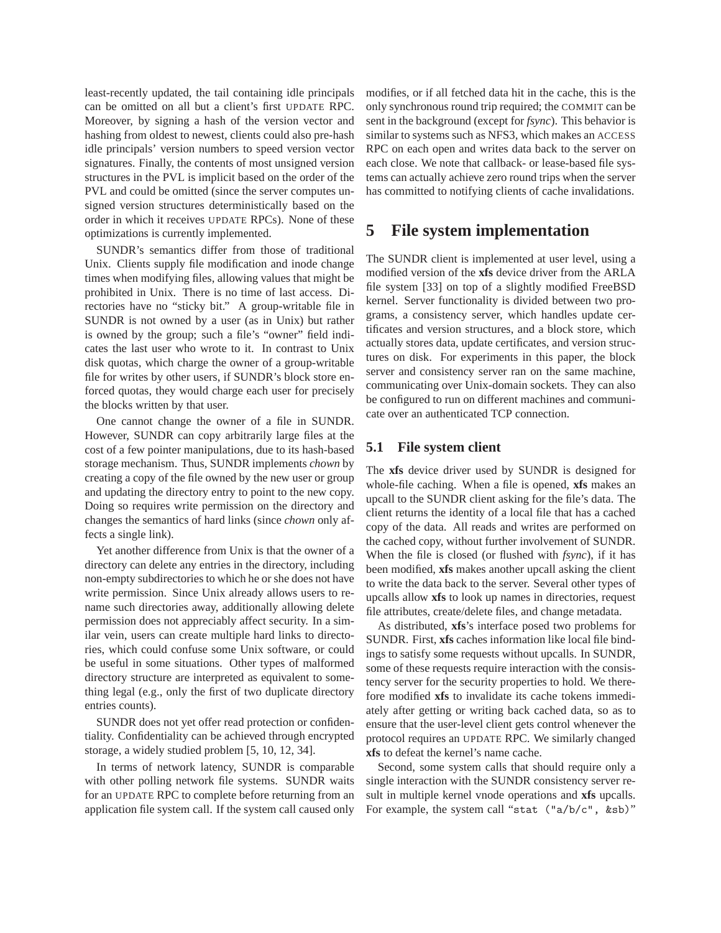least-recently updated, the tail containing idle principals can be omitted on all but a client's first UPDATE RPC. Moreover, by signing a hash of the version vector and hashing from oldest to newest, clients could also pre-hash idle principals' version numbers to speed version vector signatures. Finally, the contents of most unsigned version structures in the PVL is implicit based on the order of the PVL and could be omitted (since the server computes unsigned version structures deterministically based on the order in which it receives UPDATE RPCs). None of these optimizations is currently implemented.

SUNDR's semantics differ from those of traditional Unix. Clients supply file modification and inode change times when modifying files, allowing values that might be prohibited in Unix. There is no time of last access. Directories have no "sticky bit." A group-writable file in SUNDR is not owned by a user (as in Unix) but rather is owned by the group; such a file's "owner" field indicates the last user who wrote to it. In contrast to Unix disk quotas, which charge the owner of a group-writable file for writes by other users, if SUNDR's block store enforced quotas, they would charge each user for precisely the blocks written by that user.

One cannot change the owner of a file in SUNDR. However, SUNDR can copy arbitrarily large files at the cost of a few pointer manipulations, due to its hash-based storage mechanism. Thus, SUNDR implements *chown* by creating a copy of the file owned by the new user or group and updating the directory entry to point to the new copy. Doing so requires write permission on the directory and changes the semantics of hard links (since *chown* only affects a single link).

Yet another difference from Unix is that the owner of a directory can delete any entries in the directory, including non-empty subdirectories to which he or she does not have write permission. Since Unix already allows users to rename such directories away, additionally allowing delete permission does not appreciably affect security. In a similar vein, users can create multiple hard links to directories, which could confuse some Unix software, or could be useful in some situations. Other types of malformed directory structure are interpreted as equivalent to something legal (e.g., only the first of two duplicate directory entries counts).

SUNDR does not yet offer read protection or confidentiality. Confidentiality can be achieved through encrypted storage, a widely studied problem [5, 10, 12, 34].

In terms of network latency, SUNDR is comparable with other polling network file systems. SUNDR waits for an UPDATE RPC to complete before returning from an application file system call. If the system call caused only

modifies, or if all fetched data hit in the cache, this is the only synchronous round trip required; the COMMIT can be sent in the background (except for *fsync*). This behavior is similar to systems such as NFS3, which makes an ACCESS RPC on each open and writes data back to the server on each close. We note that callback- or lease-based file systems can actually achieve zero round trips when the server has committed to notifying clients of cache invalidations.

## **5 File system implementation**

The SUNDR client is implemented at user level, using a modified version of the **xfs** device driver from the ARLA file system [33] on top of a slightly modified FreeBSD kernel. Server functionality is divided between two programs, a consistency server, which handles update certificates and version structures, and a block store, which actually stores data, update certificates, and version structures on disk. For experiments in this paper, the block server and consistency server ran on the same machine, communicating over Unix-domain sockets. They can also be configured to run on different machines and communicate over an authenticated TCP connection.

### **5.1 File system client**

The **xfs** device driver used by SUNDR is designed for whole-file caching. When a file is opened, **xfs** makes an upcall to the SUNDR client asking for the file's data. The client returns the identity of a local file that has a cached copy of the data. All reads and writes are performed on the cached copy, without further involvement of SUNDR. When the file is closed (or flushed with *fsync*), if it has been modified, **xfs** makes another upcall asking the client to write the data back to the server. Several other types of upcalls allow **xfs** to look up names in directories, request file attributes, create/delete files, and change metadata.

As distributed, **xfs**'s interface posed two problems for SUNDR. First, **xfs** caches information like local file bindings to satisfy some requests without upcalls. In SUNDR, some of these requests require interaction with the consistency server for the security properties to hold. We therefore modified **xfs** to invalidate its cache tokens immediately after getting or writing back cached data, so as to ensure that the user-level client gets control whenever the protocol requires an UPDATE RPC. We similarly changed **xfs** to defeat the kernel's name cache.

Second, some system calls that should require only a single interaction with the SUNDR consistency server result in multiple kernel vnode operations and **xfs** upcalls. For example, the system call "stat ("a/b/c", &sb)"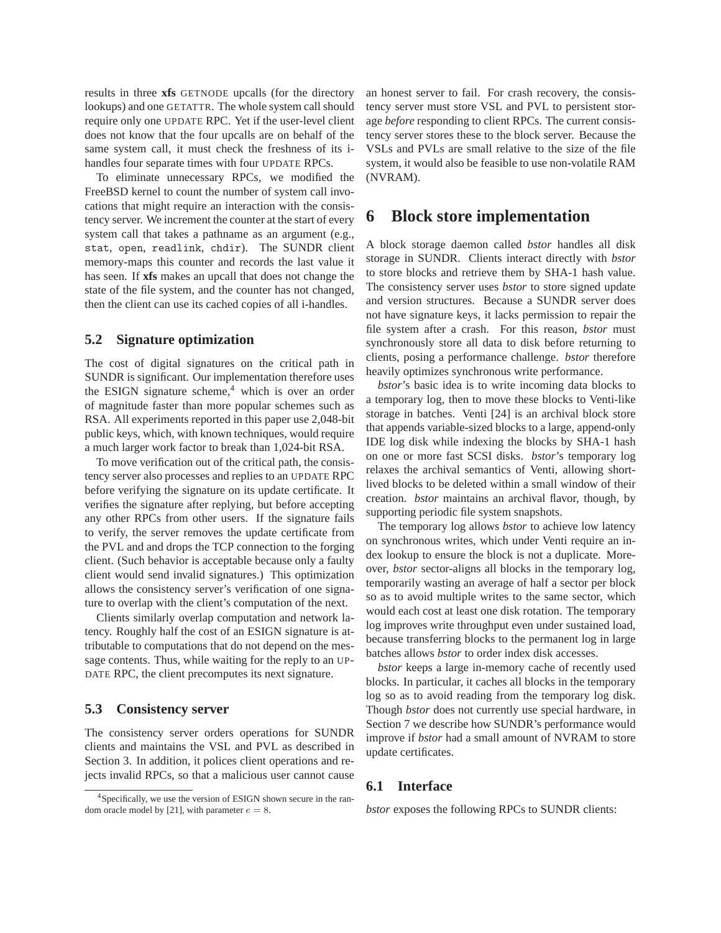results in three **xfs** GETNODE upcalls (for the directory lookups) and one GETATTR. The whole system call should require only one UPDATE RPC. Yet if the user-level client does not know that the four upcalls are on behalf of the same system call, it must check the freshness of its ihandles four separate times with four UPDATE RPCs.

To eliminate unnecessary RPCs, we modified the FreeBSD kernel to count the number of system call invocations that might require an interaction with the consistency server. We increment the counter at the start of every system call that takes a pathname as an argument (e.g., stat, open, readlink, chdir). The SUNDR client memory-maps this counter and records the last value it has seen. If **xfs** makes an upcall that does not change the state of the file system, and the counter has not changed, then the client can use its cached copies of all i-handles.

### **5.2 Signature optimization**

The cost of digital signatures on the critical path in SUNDR is significant. Our implementation therefore uses the ESIGN signature scheme, $4$  which is over an order of magnitude faster than more popular schemes such as RSA. All experiments reported in this paper use 2,048-bit public keys, which, with known techniques, would require a much larger work factor to break than 1,024-bit RSA.

To move verification out of the critical path, the consistency server also processes and replies to an UPDATE RPC before verifying the signature on its update certificate. It verifies the signature after replying, but before accepting any other RPCs from other users. If the signature fails to verify, the server removes the update certificate from the PVL and and drops the TCP connection to the forging client. (Such behavior is acceptable because only a faulty client would send invalid signatures.) This optimization allows the consistency server's verification of one signature to overlap with the client's computation of the next.

Clients similarly overlap computation and network latency. Roughly half the cost of an ESIGN signature is attributable to computations that do not depend on the message contents. Thus, while waiting for the reply to an UP-DATE RPC, the client precomputes its next signature.

#### **5.3 Consistency server**

The consistency server orders operations for SUNDR clients and maintains the VSL and PVL as described in Section 3. In addition, it polices client operations and rejects invalid RPCs, so that a malicious user cannot cause an honest server to fail. For crash recovery, the consistency server must store VSL and PVL to persistent storage *before* responding to client RPCs. The current consistency server stores these to the block server. Because the VSLs and PVLs are small relative to the size of the file system, it would also be feasible to use non-volatile RAM (NVRAM).

## **6 Block store implementation**

A block storage daemon called *bstor* handles all disk storage in SUNDR. Clients interact directly with *bstor* to store blocks and retrieve them by SHA-1 hash value. The consistency server uses *bstor* to store signed update and version structures. Because a SUNDR server does not have signature keys, it lacks permission to repair the file system after a crash. For this reason, *bstor* must synchronously store all data to disk before returning to clients, posing a performance challenge. *bstor* therefore heavily optimizes synchronous write performance.

*bstor*'s basic idea is to write incoming data blocks to a temporary log, then to move these blocks to Venti-like storage in batches. Venti [24] is an archival block store that appends variable-sized blocks to a large, append-only IDE log disk while indexing the blocks by SHA-1 hash on one or more fast SCSI disks. *bstor*'s temporary log relaxes the archival semantics of Venti, allowing shortlived blocks to be deleted within a small window of their creation. *bstor* maintains an archival flavor, though, by supporting periodic file system snapshots.

The temporary log allows *bstor* to achieve low latency on synchronous writes, which under Venti require an index lookup to ensure the block is not a duplicate. Moreover, *bstor* sector-aligns all blocks in the temporary log, temporarily wasting an average of half a sector per block so as to avoid multiple writes to the same sector, which would each cost at least one disk rotation. The temporary log improves write throughput even under sustained load, because transferring blocks to the permanent log in large batches allows *bstor* to order index disk accesses.

*bstor* keeps a large in-memory cache of recently used blocks. In particular, it caches all blocks in the temporary log so as to avoid reading from the temporary log disk. Though *bstor* does not currently use special hardware, in Section 7 we describe how SUNDR's performance would improve if *bstor* had a small amount of NVRAM to store update certificates.

### **6.1 Interface**

*bstor* exposes the following RPCs to SUNDR clients:

<sup>4</sup>Specifically, we use the version of ESIGN shown secure in the random oracle model by [21], with parameter  $e = 8$ .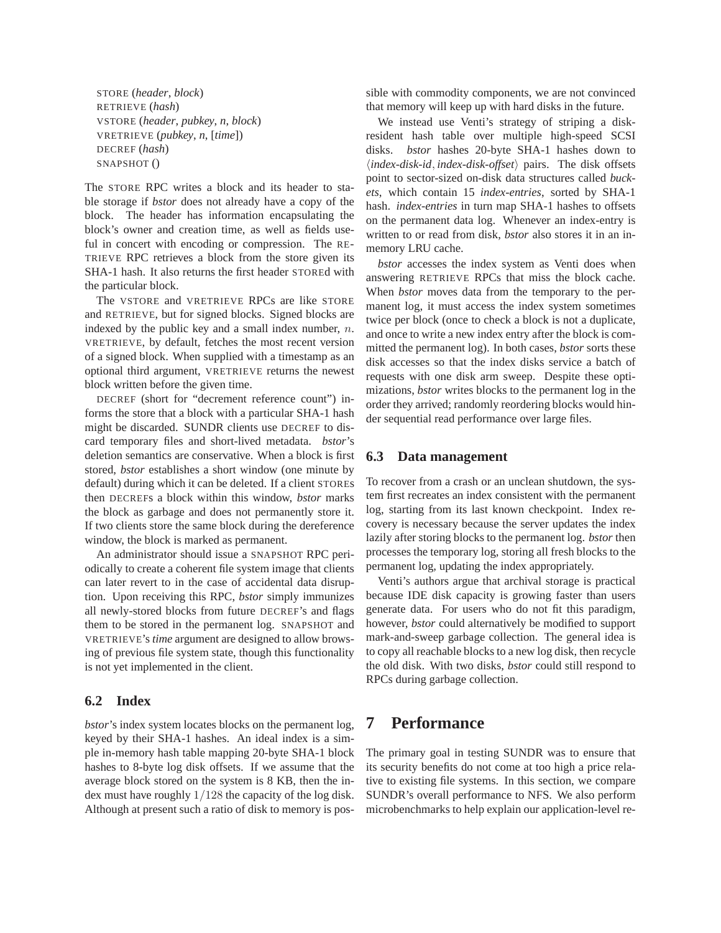STORE (*header*, *block*) RETRIEVE (*hash*) VSTORE (*header*, *pubkey*, *n*, *block*) VRETRIEVE (*pubkey*, *n*, [*time*]) DECREF (*hash*) SNAPSHOT ()

The STORE RPC writes a block and its header to stable storage if *bstor* does not already have a copy of the block. The header has information encapsulating the block's owner and creation time, as well as fields useful in concert with encoding or compression. The RE-TRIEVE RPC retrieves a block from the store given its SHA-1 hash. It also returns the first header STOREd with the particular block.

The VSTORE and VRETRIEVE RPCs are like STORE and RETRIEVE, but for signed blocks. Signed blocks are indexed by the public key and a small index number, n. VRETRIEVE, by default, fetches the most recent version of a signed block. When supplied with a timestamp as an optional third argument, VRETRIEVE returns the newest block written before the given time.

DECREF (short for "decrement reference count") informs the store that a block with a particular SHA-1 hash might be discarded. SUNDR clients use DECREF to discard temporary files and short-lived metadata. *bstor*'s deletion semantics are conservative. When a block is first stored, *bstor* establishes a short window (one minute by default) during which it can be deleted. If a client STOREs then DECREFs a block within this window, *bstor* marks the block as garbage and does not permanently store it. If two clients store the same block during the dereference window, the block is marked as permanent.

An administrator should issue a SNAPSHOT RPC periodically to create a coherent file system image that clients can later revert to in the case of accidental data disruption. Upon receiving this RPC, *bstor* simply immunizes all newly-stored blocks from future DECREF's and flags them to be stored in the permanent log. SNAPSHOT and VRETRIEVE's *time* argument are designed to allow browsing of previous file system state, though this functionality is not yet implemented in the client.

### **6.2 Index**

*bstor*'s index system locates blocks on the permanent log, keyed by their SHA-1 hashes. An ideal index is a simple in-memory hash table mapping 20-byte SHA-1 block hashes to 8-byte log disk offsets. If we assume that the average block stored on the system is 8 KB, then the index must have roughly 1/128 the capacity of the log disk. Although at present such a ratio of disk to memory is possible with commodity components, we are not convinced that memory will keep up with hard disks in the future.

We instead use Venti's strategy of striping a diskresident hash table over multiple high-speed SCSI disks. *bstor* hashes 20-byte SHA-1 hashes down to h*index-disk-id*, *index-disk-offset*i pairs. The disk offsets point to sector-sized on-disk data structures called *buckets*, which contain 15 *index-entries*, sorted by SHA-1 hash. *index-entries* in turn map SHA-1 hashes to offsets on the permanent data log. Whenever an index-entry is written to or read from disk, *bstor* also stores it in an inmemory LRU cache.

*bstor* accesses the index system as Venti does when answering RETRIEVE RPCs that miss the block cache. When *bstor* moves data from the temporary to the permanent log, it must access the index system sometimes twice per block (once to check a block is not a duplicate, and once to write a new index entry after the block is committed the permanent log). In both cases, *bstor* sorts these disk accesses so that the index disks service a batch of requests with one disk arm sweep. Despite these optimizations, *bstor* writes blocks to the permanent log in the order they arrived; randomly reordering blocks would hinder sequential read performance over large files.

### **6.3 Data management**

To recover from a crash or an unclean shutdown, the system first recreates an index consistent with the permanent log, starting from its last known checkpoint. Index recovery is necessary because the server updates the index lazily after storing blocks to the permanent log. *bstor* then processes the temporary log, storing all fresh blocks to the permanent log, updating the index appropriately.

Venti's authors argue that archival storage is practical because IDE disk capacity is growing faster than users generate data. For users who do not fit this paradigm, however, *bstor* could alternatively be modified to support mark-and-sweep garbage collection. The general idea is to copy all reachable blocks to a new log disk, then recycle the old disk. With two disks, *bstor* could still respond to RPCs during garbage collection.

## **7 Performance**

The primary goal in testing SUNDR was to ensure that its security benefits do not come at too high a price relative to existing file systems. In this section, we compare SUNDR's overall performance to NFS. We also perform microbenchmarks to help explain our application-level re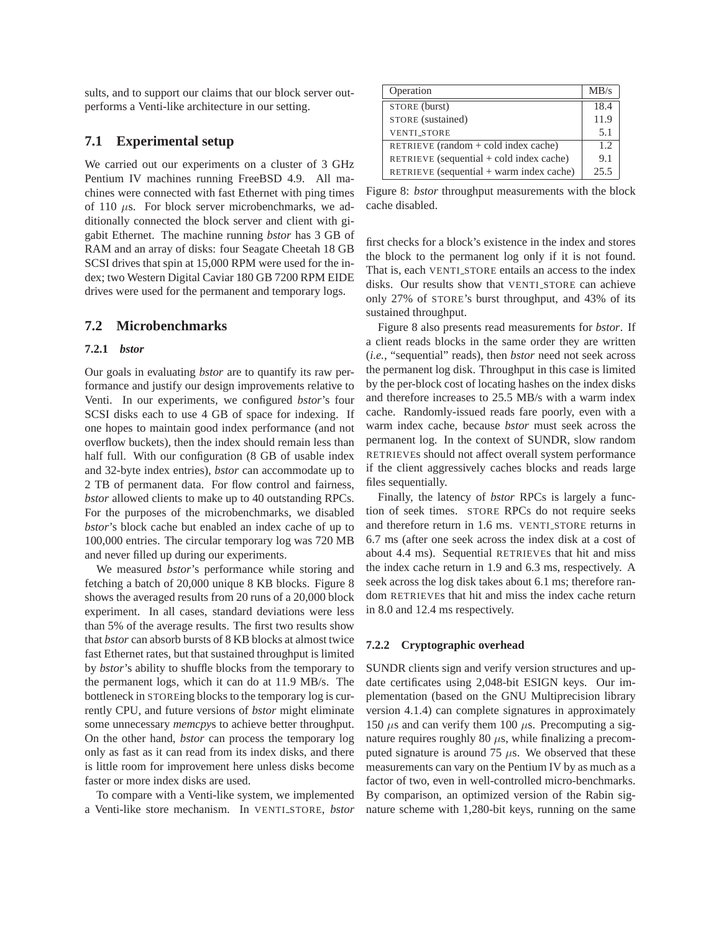sults, and to support our claims that our block server outperforms a Venti-like architecture in our setting.

### **7.1 Experimental setup**

We carried out our experiments on a cluster of 3 GHz Pentium IV machines running FreeBSD 4.9. All machines were connected with fast Ethernet with ping times of 110  $\mu$ s. For block server microbenchmarks, we additionally connected the block server and client with gigabit Ethernet. The machine running *bstor* has 3 GB of RAM and an array of disks: four Seagate Cheetah 18 GB SCSI drives that spin at 15,000 RPM were used for the index; two Western Digital Caviar 180 GB 7200 RPM EIDE drives were used for the permanent and temporary logs.

### **7.2 Microbenchmarks**

### **7.2.1** *bstor*

Our goals in evaluating *bstor* are to quantify its raw performance and justify our design improvements relative to Venti. In our experiments, we configured *bstor*'s four SCSI disks each to use 4 GB of space for indexing. If one hopes to maintain good index performance (and not overflow buckets), then the index should remain less than half full. With our configuration (8 GB of usable index and 32-byte index entries), *bstor* can accommodate up to 2 TB of permanent data. For flow control and fairness, *bstor* allowed clients to make up to 40 outstanding RPCs. For the purposes of the microbenchmarks, we disabled *bstor*'s block cache but enabled an index cache of up to 100,000 entries. The circular temporary log was 720 MB and never filled up during our experiments.

We measured *bstor*'s performance while storing and fetching a batch of 20,000 unique 8 KB blocks. Figure 8 shows the averaged results from 20 runs of a 20,000 block experiment. In all cases, standard deviations were less than 5% of the average results. The first two results show that *bstor* can absorb bursts of 8 KB blocks at almost twice fast Ethernet rates, but that sustained throughput is limited by *bstor*'s ability to shuffle blocks from the temporary to the permanent logs, which it can do at 11.9 MB/s. The bottleneck in STOREing blocks to the temporary log is currently CPU, and future versions of *bstor* might eliminate some unnecessary *memcpy*s to achieve better throughput. On the other hand, *bstor* can process the temporary log only as fast as it can read from its index disks, and there is little room for improvement here unless disks become faster or more index disks are used.

To compare with a Venti-like system, we implemented a Venti-like store mechanism. In VENTI STORE, *bstor*

| Operation                                  | MB/s |
|--------------------------------------------|------|
| STORE (burst)                              | 18.4 |
| STORE (sustained)                          | 11.9 |
| <b>VENTI_STORE</b>                         | 5.1  |
| RETRIEVE (random $+$ cold index cache)     | 1.2. |
| RETRIEVE (sequential $+$ cold index cache) | 9.1  |
| RETRIEVE (sequential + warm index cache)   | 25.5 |

Figure 8: *bstor* throughput measurements with the block cache disabled.

first checks for a block's existence in the index and stores the block to the permanent log only if it is not found. That is, each VENTI STORE entails an access to the index disks. Our results show that VENTI STORE can achieve only 27% of STORE's burst throughput, and 43% of its sustained throughput.

Figure 8 also presents read measurements for *bstor*. If a client reads blocks in the same order they are written (*i.e.*, "sequential" reads), then *bstor* need not seek across the permanent log disk. Throughput in this case is limited by the per-block cost of locating hashes on the index disks and therefore increases to 25.5 MB/s with a warm index cache. Randomly-issued reads fare poorly, even with a warm index cache, because *bstor* must seek across the permanent log. In the context of SUNDR, slow random RETRIEVEs should not affect overall system performance if the client aggressively caches blocks and reads large files sequentially.

Finally, the latency of *bstor* RPCs is largely a function of seek times. STORE RPCs do not require seeks and therefore return in 1.6 ms. VENTI STORE returns in 6.7 ms (after one seek across the index disk at a cost of about 4.4 ms). Sequential RETRIEVEs that hit and miss the index cache return in 1.9 and 6.3 ms, respectively. A seek across the log disk takes about 6.1 ms; therefore random RETRIEVEs that hit and miss the index cache return in 8.0 and 12.4 ms respectively.

#### **7.2.2 Cryptographic overhead**

SUNDR clients sign and verify version structures and update certificates using 2,048-bit ESIGN keys. Our implementation (based on the GNU Multiprecision library version 4.1.4) can complete signatures in approximately 150  $\mu$ s and can verify them 100  $\mu$ s. Precomputing a signature requires roughly 80  $\mu$ s, while finalizing a precomputed signature is around 75  $\mu$ s. We observed that these measurements can vary on the Pentium IV by as much as a factor of two, even in well-controlled micro-benchmarks. By comparison, an optimized version of the Rabin signature scheme with 1,280-bit keys, running on the same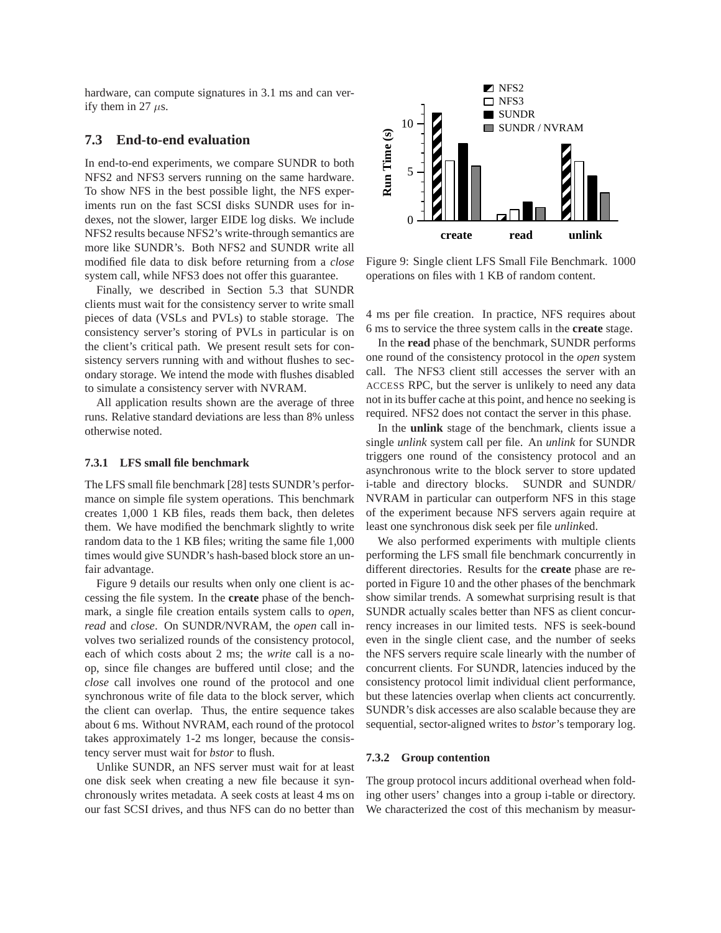hardware, can compute signatures in 3.1 ms and can verify them in 27  $\mu$ s.

#### **7.3 End-to-end evaluation**

In end-to-end experiments, we compare SUNDR to both NFS2 and NFS3 servers running on the same hardware. To show NFS in the best possible light, the NFS experiments run on the fast SCSI disks SUNDR uses for indexes, not the slower, larger EIDE log disks. We include NFS2 results because NFS2's write-through semantics are more like SUNDR's. Both NFS2 and SUNDR write all modified file data to disk before returning from a *close* system call, while NFS3 does not offer this guarantee.

Finally, we described in Section 5.3 that SUNDR clients must wait for the consistency server to write small pieces of data (VSLs and PVLs) to stable storage. The consistency server's storing of PVLs in particular is on the client's critical path. We present result sets for consistency servers running with and without flushes to secondary storage. We intend the mode with flushes disabled to simulate a consistency server with NVRAM.

All application results shown are the average of three runs. Relative standard deviations are less than 8% unless otherwise noted.

#### **7.3.1 LFS small file benchmark**

The LFS small file benchmark [28] tests SUNDR's performance on simple file system operations. This benchmark creates 1,000 1 KB files, reads them back, then deletes them. We have modified the benchmark slightly to write random data to the 1 KB files; writing the same file 1,000 times would give SUNDR's hash-based block store an unfair advantage.

Figure 9 details our results when only one client is accessing the file system. In the **create** phase of the benchmark, a single file creation entails system calls to *open*, *read* and *close*. On SUNDR/NVRAM, the *open* call involves two serialized rounds of the consistency protocol, each of which costs about 2 ms; the *write* call is a noop, since file changes are buffered until close; and the *close* call involves one round of the protocol and one synchronous write of file data to the block server, which the client can overlap. Thus, the entire sequence takes about 6 ms. Without NVRAM, each round of the protocol takes approximately 1-2 ms longer, because the consistency server must wait for *bstor* to flush.

Unlike SUNDR, an NFS server must wait for at least one disk seek when creating a new file because it synchronously writes metadata. A seek costs at least 4 ms on our fast SCSI drives, and thus NFS can do no better than



Figure 9: Single client LFS Small File Benchmark. 1000 operations on files with 1 KB of random content.

4 ms per file creation. In practice, NFS requires about 6 ms to service the three system calls in the **create** stage.

In the **read** phase of the benchmark, SUNDR performs one round of the consistency protocol in the *open* system call. The NFS3 client still accesses the server with an ACCESS RPC, but the server is unlikely to need any data not in its buffer cache at this point, and hence no seeking is required. NFS2 does not contact the server in this phase.

In the **unlink** stage of the benchmark, clients issue a single *unlink* system call per file. An *unlink* for SUNDR triggers one round of the consistency protocol and an asynchronous write to the block server to store updated i-table and directory blocks. SUNDR and SUNDR/ NVRAM in particular can outperform NFS in this stage of the experiment because NFS servers again require at least one synchronous disk seek per file *unlink*ed.

We also performed experiments with multiple clients performing the LFS small file benchmark concurrently in different directories. Results for the **create** phase are reported in Figure 10 and the other phases of the benchmark show similar trends. A somewhat surprising result is that SUNDR actually scales better than NFS as client concurrency increases in our limited tests. NFS is seek-bound even in the single client case, and the number of seeks the NFS servers require scale linearly with the number of concurrent clients. For SUNDR, latencies induced by the consistency protocol limit individual client performance, but these latencies overlap when clients act concurrently. SUNDR's disk accesses are also scalable because they are sequential, sector-aligned writes to *bstor*'s temporary log.

#### **7.3.2 Group contention**

The group protocol incurs additional overhead when folding other users' changes into a group i-table or directory. We characterized the cost of this mechanism by measur-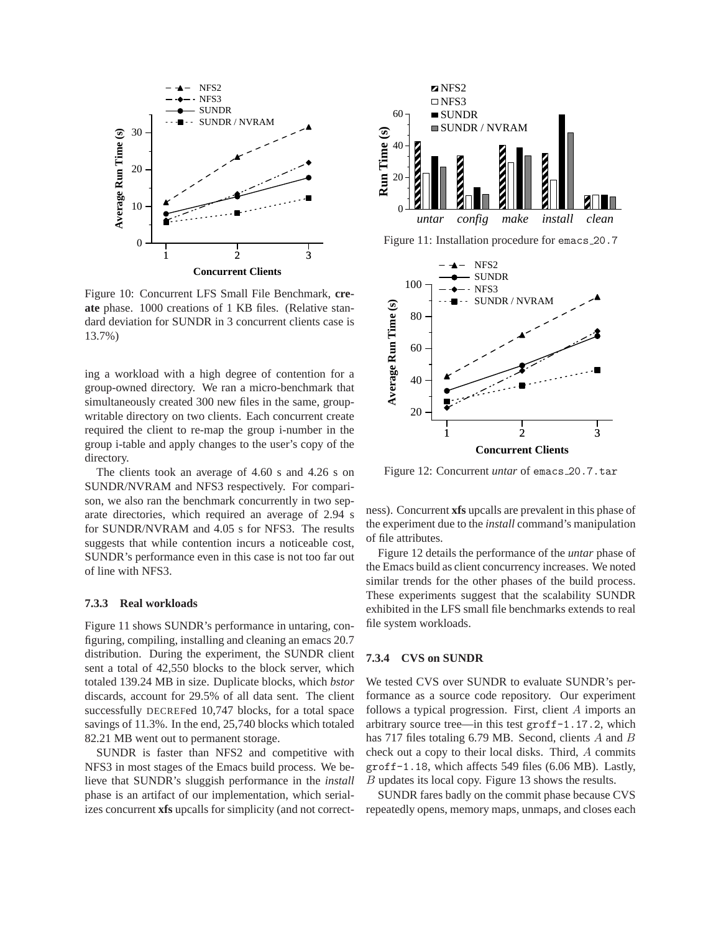

Figure 10: Concurrent LFS Small File Benchmark, **create** phase. 1000 creations of 1 KB files. (Relative standard deviation for SUNDR in 3 concurrent clients case is 13.7%)

ing a workload with a high degree of contention for a group-owned directory. We ran a micro-benchmark that simultaneously created 300 new files in the same, groupwritable directory on two clients. Each concurrent create required the client to re-map the group i-number in the group i-table and apply changes to the user's copy of the directory.

The clients took an average of 4.60 s and 4.26 s on SUNDR/NVRAM and NFS3 respectively. For comparison, we also ran the benchmark concurrently in two separate directories, which required an average of 2.94 s for SUNDR/NVRAM and 4.05 s for NFS3. The results suggests that while contention incurs a noticeable cost, SUNDR's performance even in this case is not too far out of line with NFS3.

#### **7.3.3 Real workloads**

Figure 11 shows SUNDR's performance in untaring, configuring, compiling, installing and cleaning an emacs 20.7 distribution. During the experiment, the SUNDR client sent a total of 42,550 blocks to the block server, which totaled 139.24 MB in size. Duplicate blocks, which *bstor* discards, account for 29.5% of all data sent. The client successfully DECREFed 10,747 blocks, for a total space savings of 11.3%. In the end, 25,740 blocks which totaled 82.21 MB went out to permanent storage.

SUNDR is faster than NFS2 and competitive with NFS3 in most stages of the Emacs build process. We believe that SUNDR's sluggish performance in the *install* phase is an artifact of our implementation, which serializes concurrent **xfs** upcalls for simplicity (and not correct-



Figure 11: Installation procedure for emacs 20.7



Figure 12: Concurrent *untar* of emacs 20.7.tar

ness). Concurrent **xfs** upcalls are prevalent in this phase of the experiment due to the *install* command's manipulation of file attributes.

Figure 12 details the performance of the *untar* phase of the Emacs build as client concurrency increases. We noted similar trends for the other phases of the build process. These experiments suggest that the scalability SUNDR exhibited in the LFS small file benchmarks extends to real file system workloads.

### **7.3.4 CVS on SUNDR**

We tested CVS over SUNDR to evaluate SUNDR's performance as a source code repository. Our experiment follows a typical progression. First, client A imports an arbitrary source tree—in this test groff-1.17.2, which has 717 files totaling 6.79 MB. Second, clients A and B check out a copy to their local disks. Third, A commits groff-1.18, which affects 549 files (6.06 MB). Lastly, B updates its local copy. Figure 13 shows the results.

SUNDR fares badly on the commit phase because CVS repeatedly opens, memory maps, unmaps, and closes each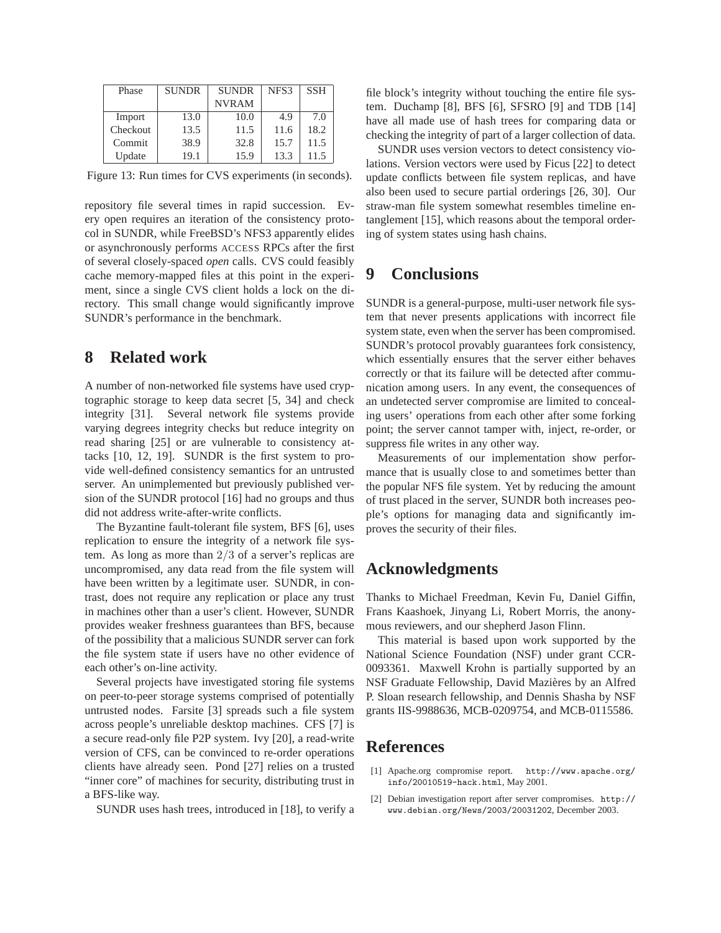| Phase    | <b>SUNDR</b> | <b>SUNDR</b> | NFS3 | <b>SSH</b> |
|----------|--------------|--------------|------|------------|
|          |              | <b>NVRAM</b> |      |            |
| Import   | 13.0         | 10.0         | 4.9  | 7.0        |
| Checkout | 13.5         | 11.5         | 11.6 | 18.2       |
| Commit   | 38.9         | 32.8         | 15.7 | 11.5       |
| Update   | 19.1         | 15.9         | 13.3 | 11.5       |

Figure 13: Run times for CVS experiments (in seconds).

repository file several times in rapid succession. Every open requires an iteration of the consistency protocol in SUNDR, while FreeBSD's NFS3 apparently elides or asynchronously performs ACCESS RPCs after the first of several closely-spaced *open* calls. CVS could feasibly cache memory-mapped files at this point in the experiment, since a single CVS client holds a lock on the directory. This small change would significantly improve SUNDR's performance in the benchmark.

## **8 Related work**

A number of non-networked file systems have used cryptographic storage to keep data secret [5, 34] and check integrity [31]. Several network file systems provide varying degrees integrity checks but reduce integrity on read sharing [25] or are vulnerable to consistency attacks [10, 12, 19]. SUNDR is the first system to provide well-defined consistency semantics for an untrusted server. An unimplemented but previously published version of the SUNDR protocol [16] had no groups and thus did not address write-after-write conflicts.

The Byzantine fault-tolerant file system, BFS [6], uses replication to ensure the integrity of a network file system. As long as more than 2/3 of a server's replicas are uncompromised, any data read from the file system will have been written by a legitimate user. SUNDR, in contrast, does not require any replication or place any trust in machines other than a user's client. However, SUNDR provides weaker freshness guarantees than BFS, because of the possibility that a malicious SUNDR server can fork the file system state if users have no other evidence of each other's on-line activity.

Several projects have investigated storing file systems on peer-to-peer storage systems comprised of potentially untrusted nodes. Farsite [3] spreads such a file system across people's unreliable desktop machines. CFS [7] is a secure read-only file P2P system. Ivy [20], a read-write version of CFS, can be convinced to re-order operations clients have already seen. Pond [27] relies on a trusted "inner core" of machines for security, distributing trust in a BFS-like way.

SUNDR uses hash trees, introduced in [18], to verify a

file block's integrity without touching the entire file system. Duchamp [8], BFS [6], SFSRO [9] and TDB [14] have all made use of hash trees for comparing data or checking the integrity of part of a larger collection of data.

SUNDR uses version vectors to detect consistency violations. Version vectors were used by Ficus [22] to detect update conflicts between file system replicas, and have also been used to secure partial orderings [26, 30]. Our straw-man file system somewhat resembles timeline entanglement [15], which reasons about the temporal ordering of system states using hash chains.

## **9 Conclusions**

SUNDR is a general-purpose, multi-user network file system that never presents applications with incorrect file system state, even when the server has been compromised. SUNDR's protocol provably guarantees fork consistency, which essentially ensures that the server either behaves correctly or that its failure will be detected after communication among users. In any event, the consequences of an undetected server compromise are limited to concealing users' operations from each other after some forking point; the server cannot tamper with, inject, re-order, or suppress file writes in any other way.

Measurements of our implementation show performance that is usually close to and sometimes better than the popular NFS file system. Yet by reducing the amount of trust placed in the server, SUNDR both increases people's options for managing data and significantly improves the security of their files.

## **Acknowledgments**

Thanks to Michael Freedman, Kevin Fu, Daniel Giffin, Frans Kaashoek, Jinyang Li, Robert Morris, the anonymous reviewers, and our shepherd Jason Flinn.

This material is based upon work supported by the National Science Foundation (NSF) under grant CCR-0093361. Maxwell Krohn is partially supported by an NSF Graduate Fellowship, David Mazieres by an Alfred ` P. Sloan research fellowship, and Dennis Shasha by NSF grants IIS-9988636, MCB-0209754, and MCB-0115586.

## **References**

- [1] Apache.org compromise report. http://www.apache.org/ info/20010519-hack.html, May 2001.
- [2] Debian investigation report after server compromises. http:// www.debian.org/News/2003/20031202, December 2003.